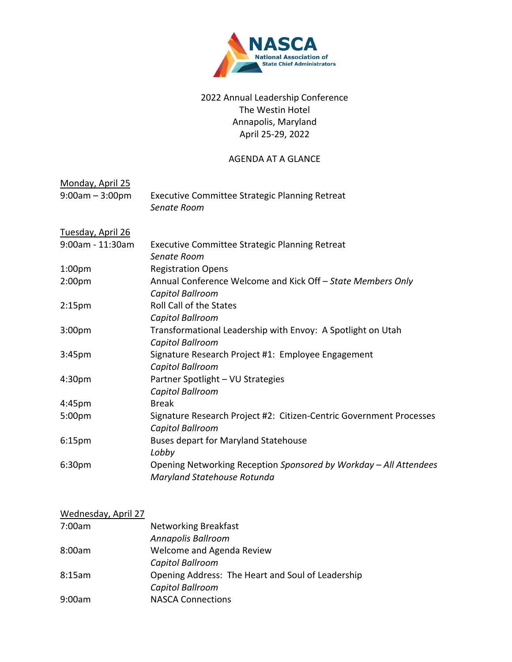

## 2022 Annual Leadership Conference The Westin Hotel Annapolis, Maryland April 25‐29, 2022

## AGENDA AT A GLANCE

| Monday, April 25<br>$9:00am - 3:00pm$ | <b>Executive Committee Strategic Planning Retreat</b><br>Senate Room |
|---------------------------------------|----------------------------------------------------------------------|
| Tuesday, April 26                     |                                                                      |
| 9:00am - 11:30am                      | <b>Executive Committee Strategic Planning Retreat</b>                |
|                                       | Senate Room                                                          |
| 1:00 <sub>pm</sub>                    | <b>Registration Opens</b>                                            |
| 2:00 <sub>pm</sub>                    | Annual Conference Welcome and Kick Off - State Members Only          |
|                                       | Capitol Ballroom                                                     |
| 2:15 <sub>pm</sub>                    | <b>Roll Call of the States</b>                                       |
|                                       | Capitol Ballroom                                                     |
| 3:00 <sub>pm</sub>                    | Transformational Leadership with Envoy: A Spotlight on Utah          |
|                                       | Capitol Ballroom                                                     |
| 3:45pm                                | Signature Research Project #1: Employee Engagement                   |
|                                       | Capitol Ballroom                                                     |
| 4:30pm                                | Partner Spotlight - VU Strategies                                    |
|                                       | Capitol Ballroom                                                     |
| 4:45pm                                | <b>Break</b>                                                         |
| 5:00pm                                | Signature Research Project #2: Citizen-Centric Government Processes  |
|                                       | Capitol Ballroom                                                     |
| 6:15pm                                | <b>Buses depart for Maryland Statehouse</b>                          |
|                                       | Lobby                                                                |
| 6:30pm                                | Opening Networking Reception Sponsored by Workday - All Attendees    |
|                                       | Maryland Statehouse Rotunda                                          |

## Wednesday, April 27

| 7:00am | <b>Networking Breakfast</b>                       |
|--------|---------------------------------------------------|
|        | Annapolis Ballroom                                |
| 8:00am | Welcome and Agenda Review                         |
|        | Capitol Ballroom                                  |
| 8:15am | Opening Address: The Heart and Soul of Leadership |
|        | Capitol Ballroom                                  |
| 9:00am | <b>NASCA Connections</b>                          |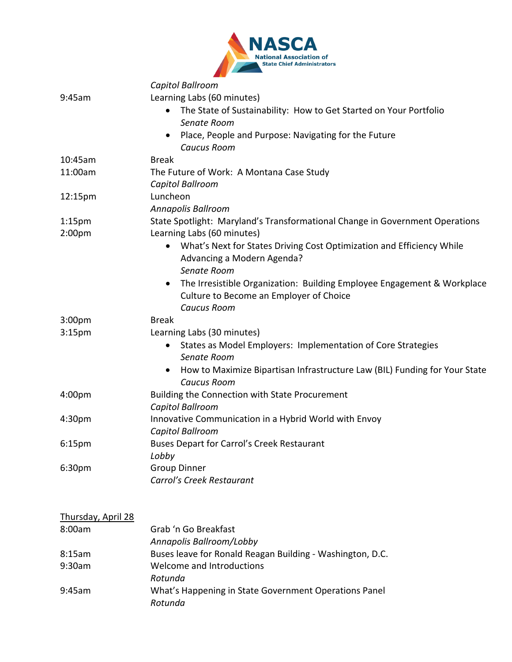|                           | <b>State Chief Administrators</b>                                                                             |
|---------------------------|---------------------------------------------------------------------------------------------------------------|
|                           | Capitol Ballroom                                                                                              |
| 9:45am                    | Learning Labs (60 minutes)                                                                                    |
|                           | The State of Sustainability: How to Get Started on Your Portfolio<br>$\bullet$<br>Senate Room                 |
|                           | Place, People and Purpose: Navigating for the Future<br>$\bullet$                                             |
|                           | <b>Caucus Room</b>                                                                                            |
| 10:45am                   | <b>Break</b>                                                                                                  |
| 11:00am                   | The Future of Work: A Montana Case Study<br>Capitol Ballroom                                                  |
|                           | Luncheon                                                                                                      |
| 12:15pm                   |                                                                                                               |
| 1:15 <sub>pm</sub>        | Annapolis Ballroom<br>State Spotlight: Maryland's Transformational Change in Government Operations            |
| 2:00 <sub>pm</sub>        | Learning Labs (60 minutes)                                                                                    |
|                           | What's Next for States Driving Cost Optimization and Efficiency While<br>$\bullet$                            |
|                           | Advancing a Modern Agenda?<br>Senate Room                                                                     |
|                           | The Irresistible Organization: Building Employee Engagement & Workplace<br>$\bullet$                          |
|                           | Culture to Become an Employer of Choice                                                                       |
|                           | <b>Caucus Room</b>                                                                                            |
| 3:00 <sub>pm</sub>        | <b>Break</b>                                                                                                  |
| 3:15 <sub>pm</sub>        | Learning Labs (30 minutes)                                                                                    |
|                           | States as Model Employers: Implementation of Core Strategies<br>$\bullet$                                     |
|                           | Senate Room                                                                                                   |
|                           | How to Maximize Bipartisan Infrastructure Law (BIL) Funding for Your State<br>$\bullet$<br><b>Caucus Room</b> |
| 4:00 <sub>pm</sub>        | Building the Connection with State Procurement                                                                |
|                           | Capitol Ballroom                                                                                              |
| 4:30 <sub>pm</sub>        | Innovative Communication in a Hybrid World with Envoy                                                         |
|                           | Capitol Ballroom                                                                                              |
| 6:15 <sub>pm</sub>        | <b>Buses Depart for Carrol's Creek Restaurant</b><br>Lobby                                                    |
| 6:30pm                    | <b>Group Dinner</b>                                                                                           |
|                           | Carrol's Creek Restaurant                                                                                     |
| <b>Thursday, April 28</b> |                                                                                                               |
| 8:00am                    | Grab 'n Go Breakfast                                                                                          |
|                           | Annapolis Ballroom/Lobby                                                                                      |
| 8:15am                    | Buses leave for Ronald Reagan Building - Washington, D.C.                                                     |
| 9:30am                    | Welcome and Introductions                                                                                     |
|                           | Rotunda                                                                                                       |
| 9:45am                    | What's Happening in State Government Operations Panel<br>Rotunda                                              |

 $\blacktriangle$